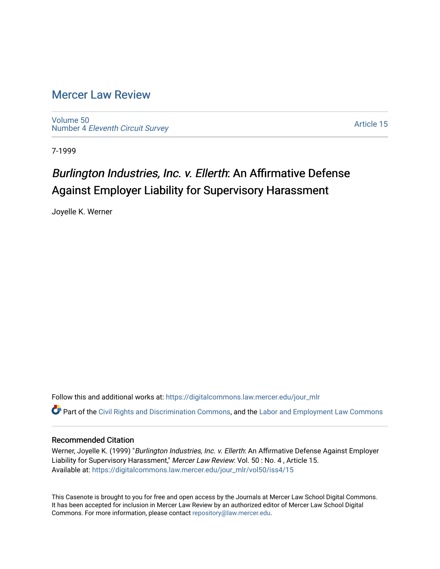## [Mercer Law Review](https://digitalcommons.law.mercer.edu/jour_mlr)

[Volume 50](https://digitalcommons.law.mercer.edu/jour_mlr/vol50) Number 4 [Eleventh Circuit Survey](https://digitalcommons.law.mercer.edu/jour_mlr/vol50/iss4) 

[Article 15](https://digitalcommons.law.mercer.edu/jour_mlr/vol50/iss4/15) 

7-1999

# Burlington Industries, Inc. v. Ellerth: An Affirmative Defense Against Employer Liability for Supervisory Harassment

Joyelle K. Werner

Follow this and additional works at: [https://digitalcommons.law.mercer.edu/jour\\_mlr](https://digitalcommons.law.mercer.edu/jour_mlr?utm_source=digitalcommons.law.mercer.edu%2Fjour_mlr%2Fvol50%2Fiss4%2F15&utm_medium=PDF&utm_campaign=PDFCoverPages)

Part of the [Civil Rights and Discrimination Commons,](http://network.bepress.com/hgg/discipline/585?utm_source=digitalcommons.law.mercer.edu%2Fjour_mlr%2Fvol50%2Fiss4%2F15&utm_medium=PDF&utm_campaign=PDFCoverPages) and the [Labor and Employment Law Commons](http://network.bepress.com/hgg/discipline/909?utm_source=digitalcommons.law.mercer.edu%2Fjour_mlr%2Fvol50%2Fiss4%2F15&utm_medium=PDF&utm_campaign=PDFCoverPages) 

### Recommended Citation

Werner, Joyelle K. (1999) "Burlington Industries, Inc. v. Ellerth: An Affirmative Defense Against Employer Liability for Supervisory Harassment," Mercer Law Review: Vol. 50: No. 4, Article 15. Available at: [https://digitalcommons.law.mercer.edu/jour\\_mlr/vol50/iss4/15](https://digitalcommons.law.mercer.edu/jour_mlr/vol50/iss4/15?utm_source=digitalcommons.law.mercer.edu%2Fjour_mlr%2Fvol50%2Fiss4%2F15&utm_medium=PDF&utm_campaign=PDFCoverPages) 

This Casenote is brought to you for free and open access by the Journals at Mercer Law School Digital Commons. It has been accepted for inclusion in Mercer Law Review by an authorized editor of Mercer Law School Digital Commons. For more information, please contact [repository@law.mercer.edu.](mailto:repository@law.mercer.edu)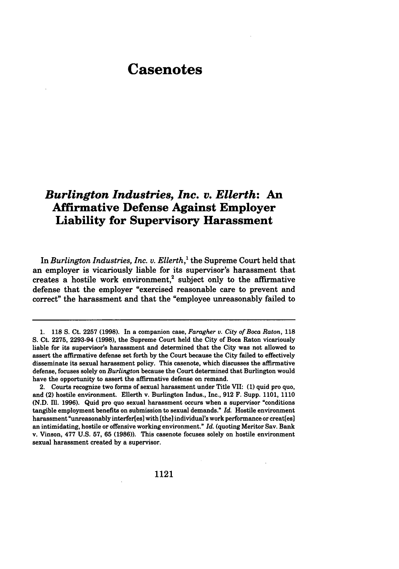# **Casenotes**

### *Burlington Industries, Inc. v. Ellerth:* **An Affirmative Defense Against Employer Liability for Supervisory Harassment**

In *Burlington Industries, Inc. v. Ellerth,'* the Supreme Court held that an employer is vicariously liable for its supervisor's harassment that creates a hostile work environment,<sup>2</sup> subject only to the affirmative defense that the employer "exercised reasonable care to prevent and correct" the harassment and that the "employee unreasonably failed to

<sup>1.</sup> **118** S. Ct. 2257 **(1998).** In a companion case, *Faragher v. City of Boca Raton,* 118 **S.** Ct. 2275, 2293-94 (1998), the Supreme Court held the City of Boca Raton vicariously liable for its supervisor's harassment and determined that the City was not allowed to assert the affirmative defense set forth **by** the Court because the City failed to effectively disseminate its sexual harassment policy. This casenote, which discusses the affirmative defense, focuses solely on *Burlington* because the Court determined that Burlington would have the opportunity to assert the affirmative defense on remand.

<sup>2.</sup> Courts recognize two forms of sexual harassment under Title VII: **(1)** quid pro quo, and (2) hostile environment. Ellerth v. Burlington Indus., Inc., **912** F. Supp. **1101, 1110 (N.D. Ill. 1996).** Quid pro quo sexual harassment occurs when a supervisor "conditions tangible employment benefits on submission to sexual demands." *Id.* Hostile environment harassment "unreasonably interfer[es] with [the] individual's work performance or creat[es] an intimidating, hostile or offensive working environment." *Id.* (quoting Meritor Say. Bank v. Vinson, **477 U.S. 57, 65 (1986)).** This casenote focuses solely on hostile environment sexual harassment created **by** a supervisor.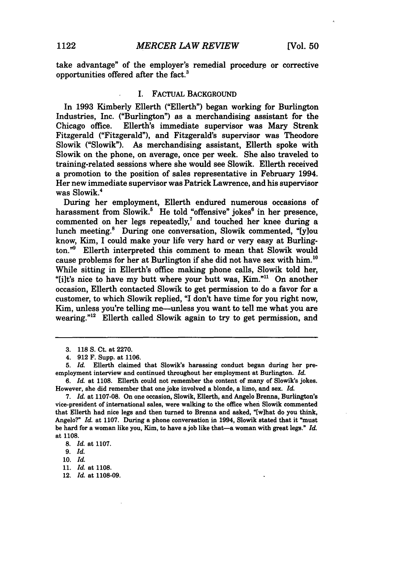take advantage" of the employer's remedial procedure or corrective opportunities offered after the fact.<sup>3</sup>

#### I. FACTUAL BACKGROUND

In **1993** Kimberly Ellerth ("Ellerth") began working for Burlington Industries, Inc. ("Burlington") as a merchandising assistant for the Chicago office. Ellerth's immediate supervisor was Mary Strenk Fitzgerald ("Fitzgerald"), and Fitzgerald's supervisor was Theodore Slowik ("Slowik"). As merchandising assistant, Ellerth spoke with Slowik on the phone, on average, once per week. She also traveled to training-related sessions where she would see Slowik. Ellerth received a promotion to the position of sales representative in February 1994. Her new immediate supervisor was Patrick Lawrence, and his supervisor was Slowik.<sup>4</sup>

During her employment, Ellerth endured numerous occasions of harassment from Slowik.<sup>5</sup> He told "offensive" jokes<sup>6</sup> in her presence, commented on her legs repeatedly,' and touched her knee during a lunch meeting.<sup>8</sup> During one conversation, Slowik commented, "[y]ou know, Kim, I could make your life very hard or very easy at Burlington."9 Ellerth interpreted this comment to mean that Slowik would cause problems for her at Burlington if she did not have sex with him.<sup>10</sup> While sitting in Ellerth's office making phone calls, Slowik told her, "[i]t's nice to have my butt where your butt was, Kim."<sup>11</sup> On another occasion, Ellerth contacted Slowik to get permission to do a favor for a customer, to which Slowik replied, **"I** don't have time for you right now, Kim, unless you're telling me—unless you want to tell me what you are wearing." $12$  Ellerth called Slowik again to try to get permission, and

12. *Id.* at 1108-09.

**<sup>3. 118</sup>** S. Ct. at 2270.

<sup>4. 912</sup> F. Supp. at 1106.

*<sup>5.</sup> Id.* Ellerth claimed that Slowik's harassing conduct began during her preemployment interview and continued throughout her employment at Burlington. *Id.*

*<sup>6.</sup> Id.* at 1108. Ellerth could not remember the content of many of Slowik's jokes. However, she did remember that one joke involved a blonde, a limo, and sex. *Id.*

<sup>7.</sup> *Id.* at 1107-08. On one occasion, Slowik, Ellerth, and Angelo Brenna, Burlington's vice-president of international sales, were walking to the office when Slowik commented that Ellerth had nice legs and then turned to Brenna and asked, "[wihat do you think, Angelo?" *Id.* at **1107.** During a phone conversation in 1994, Slowik stated that it "must be hard for a woman like you, Kim, to have a **job** like that-a woman with great legs." *Id.* at **1108.**

*<sup>8.</sup> Id.* at **1107.**

*<sup>9.</sup>* Id.

**<sup>10.</sup>** *Id.*

<sup>11.</sup> *Id.* at 1108.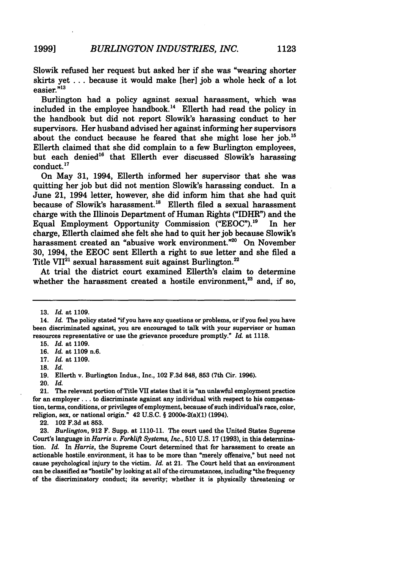Slowik refused her request but asked her if she was "wearing shorter skirts yet **...** because it would make [her] **job** a whole heck of a lot easier."<sup>13</sup>

Burlington had a policy against sexual harassment, which was included in the employee handbook.<sup>14</sup> Ellerth had read the policy in the handbook but did not report Slowik's harassing conduct to her supervisors. Her husband advised her against informing her supervisors about the conduct because he feared that she might lose her **job.'<sup>5</sup>** Ellerth claimed that she did complain to a few Burlington employees, but each denied<sup>16</sup> that Ellerth ever discussed Slowik's harassing conduct."

On May **31,** 1994, Ellerth informed her supervisor that she was quitting her **job** but did not mention Slowik's harassing conduct. In a June 21, 1994 letter, however, she did inform him that she had quit because of Slowik's harassment.<sup>18</sup> Ellerth filed a sexual harassment charge with the Illinois Department of Human Rights ("IDHR") and the Equal Employment Opportunity Commission **("EEOC").'9** In her charge, Ellerth claimed she felt she had to quit her **job** because Slowik's harassment created an "abusive work environment."<sup>20</sup> On November **30,** 1994, the **EEOC** sent Ellerth a right to sue letter and she filed a Title VII<sup>21</sup> sexual harassment suit against Burlington.<sup>22</sup>

At trial the district court examined Ellerth's claim to determine whether the harassment created a hostile environment,<sup>23</sup> and, if so,

**<sup>13.</sup>** *Id.* at **1109.**

<sup>14.</sup> *Id.* The policy stated "if you have any questions or problems, or if you feel you have been discriminated against, you are encouraged to talk with your supervisor or human resources representative or use the grievance procedure promptly." *Id.* at **1118.**

**<sup>15.</sup>** *Id.* at **1109.**

**<sup>16.</sup>** *Id.* at **1109** n.6.

**<sup>17.</sup>** *Id.* at **1109.**

**<sup>18.</sup>** *Id.*

**<sup>19.</sup>** Ellerth v. Burlington Indus., Inc., 102 **F.3d 848, 853** (7th Cir. **1996).**

<sup>20.</sup> *Id.*

<sup>21.</sup> The relevant portion of Title VII states that it is "an unlawful employment practice for an employer.., to discriminate against any individual with respect to his compensation, terms, conditions, or privileges of employment, because of such individual's race, color, religion, sex, or national origin." 42 **U.S.C.** § **2000e-2(a)(1)** (1994).

<sup>22. 102</sup> **F.3d** at **853.**

**<sup>23.</sup>** *Burlington,* **912** F. Supp. at **1110-11.** The court used the United States Supreme Court's language in *Harris v. Forklift Systems, Inc.,* **510 U.S. 17 (1993),** in this determination. *Id.* In *Harris,* the Supreme Court determined that for harassment to create an actionable hostile environment, it has to be more than "merely offensive," but need not cause psychological injury to the victim. *Id.* at 21. The Court held that an environment can be classified as "hostile" **by** looking at all of the circumstances, including "the frequency of the discriminatory conduct; its severity; whether it is physically threatening or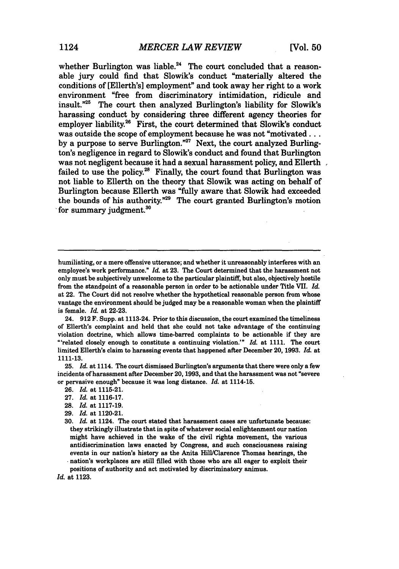whether Burlington was liable.<sup>24</sup> The court concluded that a reasonable jury could find that Slowik's conduct "materially altered the conditions of [Ellerth's] employment" and took away her right to a work environment "free from discriminatory intimidation, ridicule and insult."<sup>25</sup> The court then analyzed Burlington's liability for Slowik's The court then analyzed Burlington's liability for Slowik's harassing conduct by considering three different agency theories for employer liability.<sup>26</sup> First, the court determined that Slowik's conduct was outside the scope of employment because he was not "motivated... by a purpose to serve Burlington."<sup>27</sup> Next, the court analyzed Burlington's negligence in regard to Slowik's conduct and found that Burlington was not negligent because it had a sexual harassment policy, and Ellerth failed to use the policy.<sup>28</sup> Finally, the court found that Burlington was not liable to Ellerth on the theory that Slowik was acting on behalf of Burlington because Ellerth was "fully aware that Slowik had exceeded the bounds of his authority."29 The court granted Burlington's motion for summary judgment.<sup>30</sup>

**25.** *Id.* at 1114. The court dismissed Burlington's arguments that there were only a few incidents of harassment after December 20, **1993,** and that the harassment was not "severe or pervasive enough" because it was long distance. *Id.* at 1114-15.

- **29.** *Id.* at 1120-21.
- **30.** *Id.* at 1124. The court stated that harassment cases are unfortunate because: they strikingly illustrate that in spite of whatever social enlightenment our nation might have achieved in the wake of the civil rights movement, the various antidiscrimination laws enacted **by** Congress, and such consciousness raising events in our nation's history as the Anita Hill/Clarence Thomas hearings, the \* nation's workplaces are still filled with those who are all eager to exploit their positions of authority and act motivated **by** discriminatory animus.

*Id.* at **1123.**

humiliating, or a mere offensive utterance; and whether it unreasonably interferes with an employee's work performance." *Id.* at **23.** The Court determined that the harassment not only must be subjectively unwelcome to the particular plaintiff, but also, objectively hostile from the standpoint of a reasonable person in order to be actionable under Title **VII.** *Id.* at 22. The Court did not resolve whether the hypothetical reasonable person from whose vantage the environment should be judged may be a reasonable woman when the plaintiff is female. *Id.* at **22-23.**

<sup>24.</sup> **912 F.** Supp. at 1113-24. Prior to this discussion, the court examined the timeliness of Ellerth's complaint and held that she could not take advantage of the continuing violation doctrine, which allows time-barred complaints to be actionable if they are "related closely enough to constitute a continuing violation.'" *Id.* at **1111.** The court limited Ellerth's claim to harassing events that happened after December 20, **1993.** *Id.* at **1111-13.**

**<sup>26.</sup>** *Id.* at **1115-21.**

**<sup>27.</sup>** *Id.* at **1116-17.**

**<sup>28.</sup>** *Id.* at **1117-19.**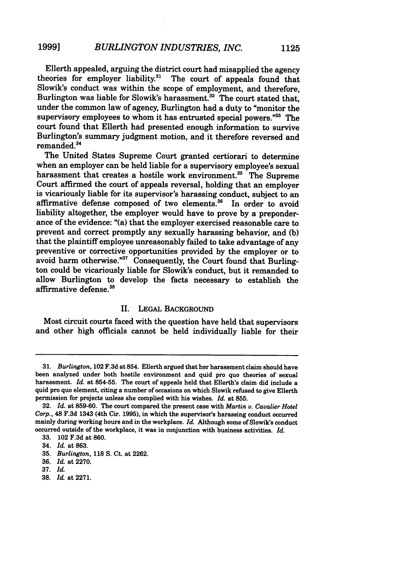Ellerth appealed, arguing the district court had misapplied the agency theories for employer liability.<sup>31</sup> The court of appeals found that Slowik's conduct was within the scope of employment, and therefore, Burlington was liable for Slowik's harassment.<sup>32</sup> The court stated that, under the common law of agency, Burlington had a duty to "monitor the supervisory employees to whom it has entrusted special powers."<sup>33</sup> The court found that Ellerth had presented enough information to survive Burlington's summary judgment motion, and it therefore reversed and remanded.<sup>34</sup>

The United States Supreme Court granted certiorari to determine when an employer can be held liable for a supervisory employee's sexual harassment that creates a hostile work environment.<sup>35</sup> The Supreme Court affirmed the court of appeals reversal, holding that an employer is vicariously liable for its supervisor's harassing conduct, subject to an affirmative defense composed of two elements.<sup>36</sup> In order to avoid liability altogether, the employer would have to prove by a preponderance of the evidence: "(a) that the employer exercised reasonable care to prevent and correct promptly any sexually harassing behavior, and (b) that the plaintiff employee unreasonably failed to take advantage of any preventive or corrective opportunities provided by the employer or to avoid harm otherwise."<sup>37</sup> Consequently, the Court found that Burlington could be vicariously liable for Slowik's conduct, but it remanded to allow Burlington to develop the facts necessary to establish the affirmative defense.<sup>38</sup>

### II. **LEGAL** BACKGROUND

Most circuit courts faced with the question have held that supervisors and other high officials cannot be held individually liable for their

**38.** *Id.* at **2271.**

<sup>31.</sup> *Burlington,* 102 F.3d at 854. Ellerth argued that her harassment claim should have been analyzed under both hostile environment and quid pro quo theories of sexual harassment. *Id.* at 854-55. The court of appeals held that Ellerth's claim did include a quid pro quo element, citing a number of occasions on which Slowik refused to give Ellerth permission for projects unless she complied with his wishes. *Id.* at 855.

<sup>32.</sup> *Id.* at 859-60. The court compared the present case with *Martin v. Cavalier Hotel Corp.,* 48 **F.3d** 1343 (4th Cir. **1995),** in which the supervisor's harassing conduct occurred mainly during working hours and in the workplace. *Id.* Although some of Slowik's conduct occurred outside of the workplace, it was in conjunction with business activities. *Id.*

**<sup>33.</sup>** 102 **F.3d** at **860.**

<sup>34.</sup> *Id.* at **863.**

**<sup>35.</sup>** *Burlington,* **118 S.** Ct. at **2262.**

**<sup>36.</sup>** *Id.* at **2270.**

**<sup>37.</sup>** *Id.*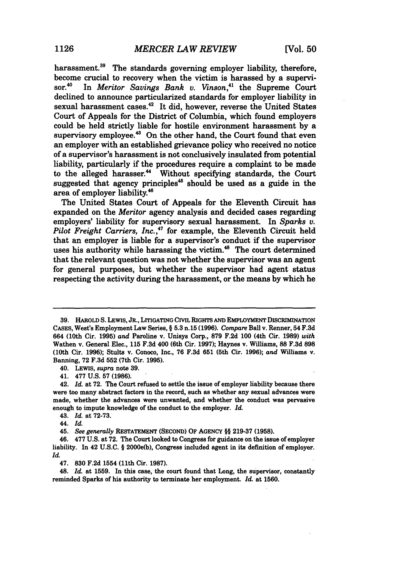harassment.<sup>39</sup> The standards governing employer liability, therefore, become crucial to recovery when the victim is harassed by a supervisor.<sup>40</sup> In *Meritor Savings Bank v. Vinson*.<sup>41</sup> the Supreme Court In *Meritor Savings Bank v. Vinson*,<sup>41</sup> the Supreme Court declined to announce particularized standards for employer liability in sexual harassment cases.<sup>42</sup> It did, however, reverse the United States Court of Appeals for the District of Columbia, which found employers could be held strictly liable for hostile environment harassment **by** a supervisory employee.<sup>43</sup> On the other hand, the Court found that even an employer with an established grievance policy who received no notice of a supervisor's harassment is not conclusively insulated from potential liability, particularly if the procedures require a complaint to be made to the alleged harasser.<sup>44</sup> Without specifying standards, the Court suggested that agency principles<sup>45</sup> should be used as a guide in the area of employer liability.<sup>46</sup>

The United States Court of Appeals for the Eleventh Circuit has expanded on the *Meritor* agency analysis and decided cases regarding employers' liability for supervisory sexual harassment. In *Sparks v.* Pilot Freight Carriers, Inc.,<sup>47</sup> for example, the Eleventh Circuit held that an employer is liable for a supervisor's conduct if the supervisor uses his authority while harassing the victim.<sup>48</sup> The court determined that the relevant question was not whether the supervisor was an agent for general purposes, but whether the supervisor had agent status respecting the activity during the harassment, or the means **by** which he

40. LEWIS, *supra* note **39.**

41. **477 U.S. 57 (1986).**

**<sup>39.</sup>** HAROLD **S.** LEWIS, JR., LITIGATING **CivIL** RIGHTS **AND** EMPLOYMENT **DISCRIMINATION CASES,** West's Employment Law Series, § **5.3** n.15 **(1996).** *Compare* Ball v. Renner, **54 F.3d** 664 (10th Cir. **1995)** *and* Paroline v. Unisys Corp., **879 F.2d 100** (4th Cir. **1989)** *with* Wathen v. General Elec., **115 F.3d** 400 (6th Cir. **1997);** Haynes v. Williams, **88 F.3d 898** (10th Cir. **1996);** Stults v. Conoco, Inc., **76 F.3d 651** (5th Cir. **1996);** *and* Williams v. Banning, **72 F.3d** 552 (7th Cir. **1995).**

<sup>42.</sup> *Id.* at **72.** The Court refused to settle the issue of employer liability because there were too many abstract factors in the record, such as whether any sexual advances were made, whether the advances were unwanted, and whether the conduct was pervasive enough to impute knowledge of the conduct to the employer. *Id.*

<sup>43.</sup> *Id.* at **72-73.**

<sup>44.</sup> *Id.*

<sup>45.</sup> *See generally* RESTATEMENT **(SECOND)** OF AGENCY §§ **219-37 (1958).**

<sup>46.</sup> **477 U.S.** at **72.** The Court looked to Congress for guidance on the issue of employer liability. In 42 **U.S.C.** § 2000e(b), Congress included agent in its definition of employer. *Id.*

<sup>47.</sup> **830 F.2d** 1554 (11th Cir. **1987).**

<sup>48.</sup> *Id.* at **1559.** In this case, the court found that Long, the supervisor, constantly reminded Sparks of his authority to terminate her employment. *Id.* at **1560.**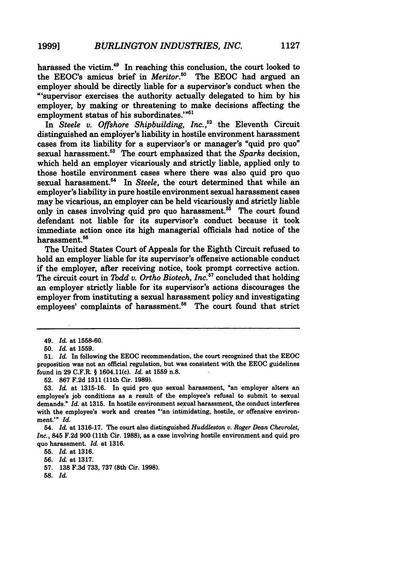harassed the victim.<sup>49</sup> In reaching this conclusion, the court looked to the EEOC's amicus brief in *Meritor*.<sup>50</sup> The EEOC had argued an the EEOC's amicus brief in *Meritor*.<sup>50</sup> employer should be directly liable for a supervisor's conduct when the "'supervisor exercises the authority actually delegated to him **by** his employer, **by** making or threatening to make decisions affecting the employment status of his subordinates.'"

In *Steele v. Offshore Shipbuilding, Inc.,52* the Eleventh Circuit distinguished an employer's liability in hostile environment harassment cases from its liability for a supervisor's or manager's "quid pro quo" sexual harassment.<sup>53</sup> The court emphasized that the *Sparks* decision, which held an employer vicariously and strictly liable, applied only to those hostile environment cases where there was also quid pro quo sexual harassment.<sup>54</sup> In *Steele*, the court determined that while an employer's liability in pure hostile environment sexual harassment cases may be vicarious, an employer can be held vicariously and strictly liable only in cases involving quid pro quo harassment.<sup>55</sup> The court found defendant not liable for its supervisor's conduct because it took immediate action once its high managerial officials had notice of the harassment.<sup>56</sup>

The United States Court of Appeals for the Eighth Circuit refused to hold an employer liable for its supervisor's offensive actionable conduct if the employer, after receiving notice, took prompt corrective action. The circuit court in *Todd v. Ortho Biotech, Inc.57* concluded that holding an employer strictly liable for its supervisor's actions discourages the employer from instituting a sexual harassment policy and investigating employees' complaints of harassment.<sup>58</sup> The court found that strict

**58.** *Id.*

<sup>49.</sup> *Id.* at **1558-60.**

**<sup>50.</sup>** *Id.* at **1559.**

**<sup>51.</sup>** *Id.* In following the **EEOC** recommendation, the court recognized that the **EEOC** proposition was not an official regulation, but was consistent with the **EEOC** guidelines found in **29** C.F.R. § 1604.11(c). *Id.* at **1559** n.8.

**<sup>52. 867</sup> F.2d 1311** (11th Cir. **1989).**

**<sup>53.</sup>** *Id.* at **1315-16.** In quid pro quo sexual harassment, "an employer alters an employee's **job** conditions as a result of the employee's refusal to submit to sexual demands." *Id.* at **1315.** In hostile environment sexual harassment, the conduct interferes with the employee's work and creates "'an intimidating, hostile, or offensive environment.'" *Id.*

<sup>54.</sup> *Id.* at **1316-17.** The court also distinguished *Huddleston v. Roger Dean Chevrolet, Inc.,* 845 **F.2d 900** (11th Cir. **1988),** as a case involving hostile environment and quid pro quo harassment. *Id.* at **1316.**

**<sup>55.</sup>** *Id.* at **1316.**

**<sup>56.</sup>** *Id.* at **1317.**

**<sup>57. 138</sup> F.3d 733, 737** (8th Cir. **1998).**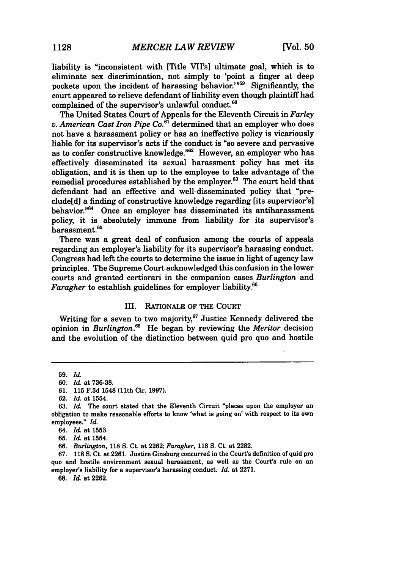liability is "inconsistent with [Title VII's] ultimate goal, which is to eliminate sex discrimination, not simply to 'point a finger at deep pockets upon the incident of harassing behavior.'"<sup>59</sup> Significantly, the court appeared to relieve defendant of liability even though plaintiff had complained of the supervisor's unlawful conduct. $60$ 

The United States Court of Appeals for the Eleventh Circuit in *Farley v. American Cast Iron Pipe Co."'* determined that an employer who does not have a harassment policy or has an ineffective policy is vicariously liable for its supervisor's acts if the conduct is "so severe and pervasive as to confer constructive knowledge."<sup>62</sup> However, an employer who has effectively disseminated its sexual harassment policy has met its obligation, and it is then up to the employee to take advantage of the remedial procedures established by the employer.<sup>63</sup> The court held that defendant had an effective and well-disseminated policy that "preclude[d] a finding of constructive knowledge regarding [its supervisor's] behavior.<sup>"64</sup> Once an employer has disseminated its antiharassment policy, it is absolutely immune from liability for its supervisor's harassment.<sup>65</sup>

There was a great deal of confusion among the courts of appeals regarding an employer's liability for its supervisor's harassing conduct. Congress had left the courts to determine the issue in light of agency law principles. The Supreme Court acknowledged this confusion in the lower courts and granted certiorari in the companion cases *Burlington* and *Faragher* to establish guidelines for employer liability.6 6

### III. RATIONALE OF THE COURT

Writing for a seven to two majority, $67$  Justice Kennedy delivered the opinion in *Burlington."* He began by reviewing the *Meritor* decision and the evolution of the distinction between quid pro quo and hostile

62. *Id.* at 1554.

67. **118 S.** Ct. at 2261. Justice Ginsburg concurred in the Court's definition of quid pro quo and hostile environment sexual harassment, as well as the Court's rule on an employer's liability for a supervisor's harassing conduct. *Id.* at 2271.

**68.** *Id.* at 2262.

<sup>59.</sup> *Id.*

<sup>60.</sup> *Id.* at 736-38.

<sup>61. 115</sup> F.3d 1548 (11th Cir. 1997).

<sup>63.</sup> *Id.* The court stated that the Eleventh Circuit "places upon the employer an obligation to make reasonable efforts to know 'what is going on' with respect to its own employees." *Id.*

<sup>64.</sup> *Id.* at 1553.

<sup>65.</sup> *Id.* at 1554.

<sup>66.</sup> *Burlington,* **118 S.** Ct. at 2262; *Faragher,* **118** S. Ct. at 2282.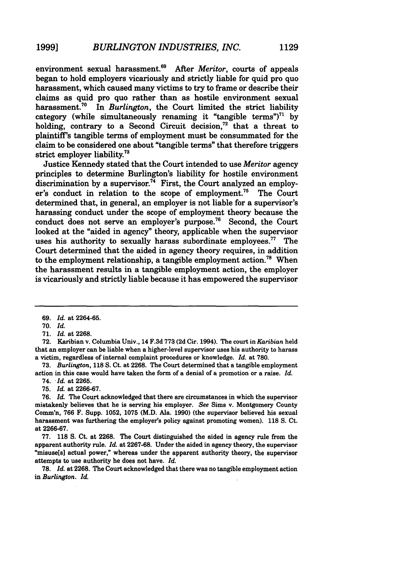environment sexual harassment.<sup>69</sup> After *Meritor*, courts of appeals began to hold employers vicariously and strictly liable for quid pro quo harassment, which caused many victims to try to frame or describe their claims as quid pro quo rather than as hostile environment sexual harassment.<sup>70</sup> In *Burlington*, the Court limited the strict liability category (while simultaneously renaming it "tangible terms")<sup>71</sup> by holding, contrary to a Second Circuit decision, $72$  that a threat to plaintiff's tangible terms of employment must be consummated for the claim to be considered one about "tangible terms" that therefore triggers strict employer liability.73

Justice Kennedy stated that the Court intended to use *Meritor* agency principles to determine Burlington's liability for hostile environment discrimination **by** a supervisor.7 " First, the Court analyzed an employer's conduct in relation to the scope of employment.<sup>75</sup> The Court determined that, in general, an employer is not liable for a supervisor's harassing conduct under the scope of employment theory because the conduct does not serve an employer's purpose.<sup>76</sup> Second, the Court looked at the "aided in agency" theory, applicable when the supervisor uses his authority to sexually harass subordinate employees.<sup>77</sup> The Court determined that the aided in agency theory requires, in addition to the employment relationship, a tangible employment action.<sup>78</sup> When the harassment results in a tangible employment action, the employer is vicariously and strictly liable because it has empowered the supervisor

**70.** *Id.*

**71.** *Id.* at **2268.**

**72.** Karibian v. Columbia Univ., 14 **F.3d 773 (2d** Cir. **1994).** The court in *Karibian* held that an employer can be liable when a higher-level supervisor uses his authority to harass a victim, regardless of internal complaint procedures or knowledge. *Id.* at **780.**

**73.** *Burlington,* 118 **S.** Ct. at **2268.** The Court determined that a tangible employment action in this case would have taken the form of a denial of a promotion or a raise. *Id.*

74. *"Id.* at **2265.**

**75.** *Id.* at **2266-67.**

**76.** *Id.* The Court acknowledged that there are circumstances in which the supervisor mistakenly believes that he is serving his employer. *See* Sims v. Montgomery County Comm'n, **766** F. Supp. **1052, 1075** (M.D. Ala. **1990)** (the supervisor believed his sexual harassment was furthering the employer's policy against promoting women). **118 S.** Ct. at **2266-67.**

**77. 118 S.** Ct. at **2268.** The Court distinguished the aided in agency rule from the apparent authority rule. *Id.* at **2267-68.** Under the aided in agency theory, the supervisor "misuse[s] actual power," whereas under the apparent authority theory, the supervisor attempts to use authority he does not have. *Id.*

**78.** *Id.* at **2268.** The Court acknowledged that there was no tangible employment action in *Burlington. Id.*

**<sup>69.</sup>** *Id.* at **2264-65.**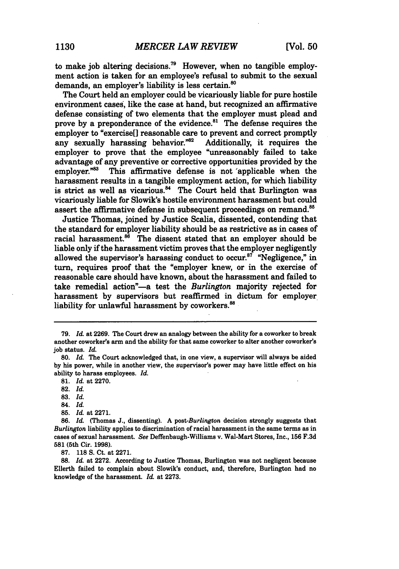to make **job** altering decisions."9 However, when no tangible employment action is taken for an employee's refusal to submit to the sexual demands, an employer's liability is less certain.<sup>80</sup>

The Court held an employer could be vicariously liable for pure hostile environment cases, like the case at hand, but recognized an affirmative defense consisting of two elements that the employer must plead and prove by a preponderance of the evidence.<sup>81</sup> The defense requires the employer to "exercise[] reasonable care to prevent and correct promptly<br>any sexually harassing behavior."<sup>82</sup> Additionally, it requires the any sexually harassing behavior. $^{82}$ employer to prove that the employee "unreasonably failed to take advantage of any preventive or corrective opportunities provided **by** the This affirmative defense is not 'applicable when the harassment results in a tangible employment action, for which liability is strict as well as vicarious.<sup>84</sup> The Court held that Burlington was vicariously liable for Slowik's hostile environment harassment but could assert the affirmative defense in subsequent proceedings on remand.<sup>85</sup>

Justice Thomas, joined **by** Justice Scalia, dissented, contending that the standard for employer liability should be as restrictive as in cases of racial harassment. $8^8$  The dissent stated that an employer should be liable only if the harassment victim proves that the employer negligently allowed the supervisor's harassing conduct to occur.<sup>87</sup> "Negligence," in turn, requires proof that the "employer knew, or in the exercise of reasonable care should have known, about the harassment and failed to take remedial action"-a test the *Burlington* majority rejected for harassment by supervisors but reaffirmed in dictum for employer liability for unlawful harassment by coworkers.<sup>88</sup>

81. *Id.* at 2270.

- 84. *Id.*
- **85.** *Id.* at 2271.

**87.** 118 S. Ct. at 2271.

**88.** *Id.* at 2272. According to Justice Thomas, Burlington was not negligent because Ellerth failed to complain about Slowik's conduct, and, therefore, Burlington had no knowledge of the harassment. *Id.* at 2273.

**<sup>79.</sup>** *Id.* at 2269. The Court drew an analogy between the ability for a coworker to break another coworker's arm and the ability for that same coworker to alter another coworker's job status. *Id.*

**<sup>80.</sup>** *Id.* The Court acknowledged that, in one view, a supervisor will always be aided by his power, while in another view, the supervisor's power may have little effect on his ability to harass employees. *Id.*

**<sup>82.</sup>** *Id.*

<sup>83.</sup> *Id.*

<sup>86.</sup> *Id.* (Thomas J., dissenting). **A** *post-Burlington* decision strongly suggests that *Burlington* liability applies to discrimination of racial harassment in the same terms as in cases of sexual harassment. *See* Deffenbaugh-Williams v. Wal-Mart Stores, Inc., **156** F.3d **581** (5th Cir. 1998).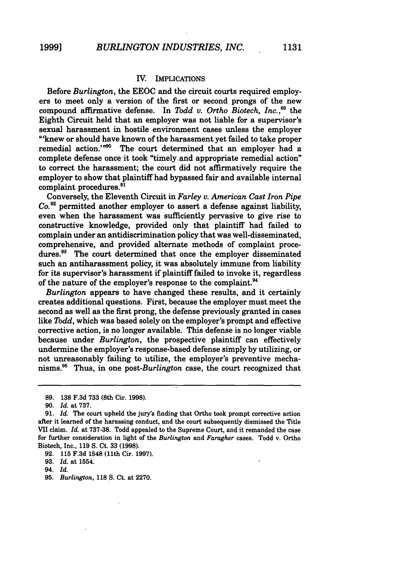### IV. IMPLICATIONS

Before *Burlington,* the EEOC and the circuit courts required employers to meet only a version of the first or second prongs of the new compound affirmative defense. In *Todd v. Ortho Biotech, Inc.*,<sup>89</sup> the Eighth Circuit held that an employer was not liable for a supervisor's sexual harassment in hostile environment cases unless the employer "'knew or should have known of the harassment yet failed to take proper remedial action."<sup>90</sup> The court determined that an employer had a complete defense once it took "timely. and appropriate remedial action" to correct the harassment; the court did not affirmatively require the employer to show that plaintiff had bypassed fair and available internal complaint procedures.<sup>91</sup>

Conversely, the Eleventh Circuit in *Farley v. American Cast Iron Pipe Co.92* permitted another employer to assert a defense against liability, even when the harassment was sufficiently pervasive to give rise to constructive knowledge, provided only that plaintiff had failed to complain under an antidiscrimination policy that was well-disseminated, comprehensive, and provided alternate methods of complaint procedures.<sup>93</sup> The court determined that once the employer disseminated such an antiharassment policy, it was absolutely immune from liability for its supervisor's harassment if plaintiff failed to invoke it, regardless of the nature of the employer's response to the complaint.<sup>94</sup>

*Burlington* appears to have changed these results, and it certainly creates additional questions. First, because the employer must meet the second as well as the first prong, the defense previously granted in cases like *Todd,* which was based solely on the employer's prompt and effective corrective action, is no longer available. This defense is no longer viable because under *Burlington,* the prospective plaintiff can effectively undermine the employer's response-based defense simply **by** utilizing, or not unreasonably failing to utilize, the employer's preventive mechanisms." Thus, in one *post-Burlington* case, the court recognized that

**<sup>89. 138</sup> F.3d 733** (8th Cir. **1998).**

**<sup>90.</sup>** *Id.* at **737.**

**<sup>91.</sup>** *Id.* The court upheld the jury's finding that Ortho took prompt corrective action after it learned of the harassing conduct, and the court subsequently dismissed the Title VII claim. *Id.* at **737-38.** Todd appealed to the Supreme Court, and it remanded the case for further consideration in light of the *Burlington* and *Faragher* cases. Todd v. Ortho Biotech, Inc., **119 S.** Ct. **33 (1998).**

**<sup>92. 115</sup> F.3d** 1548 (11th Cir. **1997).**

**<sup>93.</sup>** *Id.* at 1554.

<sup>94.</sup> *Id.*

**<sup>95.</sup>** *Burlington,* **118 S.** Ct. at **2270.**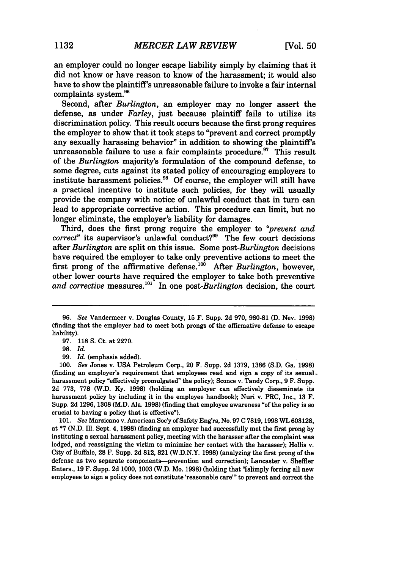an employer could no longer escape liability simply by claiming that it did not know or have reason to know of the harassment; it would also have to show the plaintiff's unreasonable failure to invoke a fair internal complaints system.96

Second, after *Burlington,* an employer may no longer assert the defense, as under *Farley,* just because plaintiff fails to utilize its discrimination policy. This result occurs because the first prong requires the employer to show that it took steps to "prevent and correct promptly any sexually harassing behavior" in addition to showing the plaintiff's unreasonable failure to use a fair complaints procedure.<sup>97</sup> This result of the *Burlington* majority's formulation of the compound defense, to some degree, cuts against its stated policy of encouraging employers to institute harassment policies.<sup>98</sup> Of course, the employer will still have a practical incentive to institute such policies, for they will usually provide the company with notice of unlawful conduct that in turn can lead to appropriate corrective action. This procedure can limit, but no longer eliminate, the employer's liability for damages.

Third, does the first prong require the employer to *"prevent and correct*" its supervisor's unlawful conduct?<sup>99</sup> The few court decisions after *Burlington* are split on this issue. Some *post-Burlington* decisions have required the employer to take only preventive actions to meet the first prong of the affirmative defense.'0° After *Burlington,* however, other lower courts have required the employer to take both preventive and corrective measures.<sup>101</sup> In one post-Burlington decision, the court

100. *See* Jones v. USA Petroleum Corp., 20 F. Supp. 2d 1379, 1386 (S.D. Ga. 1998) (finding an employer's requirement that employees read and sign a copy of its sexual. harassment policy "effectively promulgated" the policy); Sconce v. Tandy Corp., 9 F. Supp. 2d 773, 778 (W.D. Ky. 1998) (holding an employer can effectively disseminate its harassment policy by including it in the employee handbook); Nuri v. PRC, Inc., 13 F. Supp. 2d 1296, 1308 (M.D. Ala. 1998) (finding that employee awareness **"of** the policy is so crucial to having a policy that is effective").

101. *See* Marsicano v. American Soc'y of Safety Eng'rs, No. 97 **C** 7819, 1998 WL 603128, at \*7 (N.D. Ill. Sept. 4, 1998) (finding an employer had successfully met the first prong by instituting a sexual harassment policy, meeting with the harasser after the complaint was lodged, and reassigning the victim to minimize her contact with the harasser); Hollis v. City of Buffalo, 28 F. Supp. 2d 812, 821 (W.D.N.Y. 1998) (analyzing the first prong of the defense as two separate components-prevention and correction); Lancaster v. Sheffler Enters., 19 F. Supp. 2d 1000, 1003 (W.D. Mo. 1998) (holding that "[slimply forcing all new employees to sign a policy does not constitute 'reasonable care'" to prevent and correct the

*<sup>96.</sup> See* Vandermeer v. Douglas County, 15 F. Supp. 2d 970, 980-81 **(D.** Nev. 1998) (finding that the employer had to meet both prongs of the affirmative defense to escape liability).

<sup>97. 118</sup> **S.** Ct. at 2270.

**<sup>98.</sup>** *Id.*

<sup>99.</sup> *Id.* (emphasis added).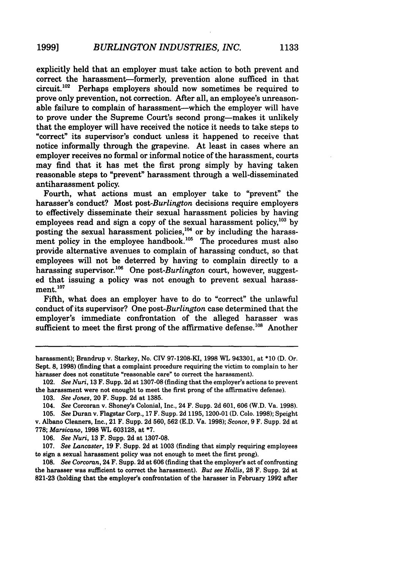explicitly held that an employer must take action to both prevent and correct the harassment-formerly, prevention alone sufficed in that circuit. $102$  Perhaps employers should now sometimes be required to prove only prevention, not correction. After all, an employee's unreasonable failure to complain of harassment--which the employer will have to prove under the Supreme Court's second prong-makes it unlikely that the employer will have received the notice it needs to take steps to "correct" its supervisor's conduct unless it happened to receive that notice informally through the grapevine. At least in cases where an employer receives no formal or informal notice of the harassment, courts may find that it has met the first prong simply by having taken reasonable steps to "prevent" harassment through a well-disseminated antiharassment policy.

Fourth, what actions must an employer take to "prevent" the harasser's conduct? Most *post-Burlington* decisions require employers to effectively disseminate their sexual harassment policies by having employees read and sign a copy of the sexual harassment policy,  $^{103}$  by posting the sexual harassment policies,<sup>104</sup> or by including the harassment policy in the employee handbook.<sup>105</sup> The procedures must also provide alternative avenues to complain of harassing conduct, so that employees will not be deterred by having to complain directly to a harassing supervisor.<sup>106</sup> One post-Burlington court, however, suggested that issuing a policy was not enough to prevent sexual harassment. **<sup>1</sup> 07**

Fifth, what does an employer have to do to "correct" the unlawful conduct of its supervisor? One *post-Burlington* case determined that the employer's immediate confrontation of the alleged harasser was sufficient to meet the first prong of the affirmative defense.<sup>108</sup> Another

harassment); Brandrup v. Starkey, No. **CIV** 97-1208-KI, **1998** WL 943301, at \*10 **(D.** Or. Sept. 8, 1998) (finding that a complaint procedure requiring the victim to complain to her harasser does not constitute "reasonable care" to correct the harassment).

<sup>102.</sup> *See Nuri,* 13 F. Supp. 2d at 1307-08 (finding that the employer's actions to prevent the harassment were not enought to meet the first prong of the affirmative defense).

<sup>103.</sup> *See* Jones, 20 F. Supp. 2d at 1385.

<sup>104.</sup> *See* Corcoran v. Shoney's Colonial, Inc., 24 F. Supp. 2d 601, 606 (W.D. Va. 1998).

<sup>105.</sup> *See* Duran v. Flagstar Corp., 17 F. Supp. 2d 1195, 1200-01 (D. Colo. 1998); Speight v. Albano Cleaners, Inc., 21 F. Supp. 2d 560, 562 (E.D. Va. 1998); *Sconce,* 9 F. Supp. 2d at 778; *Marsicano,* 1998 WL 603128, at **\*7.**

<sup>106.</sup> *See Nuri,* 13 F. Supp. 2d at 1307-08.

<sup>107.</sup> *See Lancaster,* 19 F. Supp. 2d at 1003 (finding that simply requiring employees to sign a sexual harassment policy was not enough to meet the first prong).

<sup>108.</sup> *See Corcoran,* 24 F. Supp. 2d at 606 (finding that the employer's act of confronting the harasser was sufficient to correct the harassment). *But see Hollis,* **28** F. Supp. **2d** at **821-23** (holding that the employer's confrontation of the harasser in February **1992** after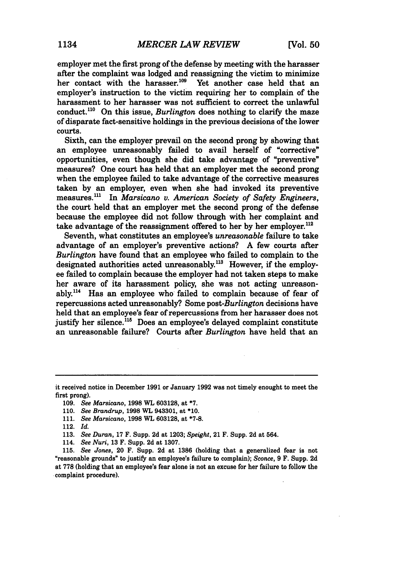employer met the first prong of the defense by meeting with the harasser after the complaint was lodged and reassigning the victim to minimize her contact with the harasser.<sup>109</sup> Yet another case held that an employer's instruction to the victim requiring her to complain of the harassment to her harasser was not sufficient to correct the unlawful conduct.<sup>110</sup> On this issue, *Burlington* does nothing to clarify the maze of disparate fact-sensitive holdings in the previous decisions of the lower courts.

Sixth, can the employer prevail on the second prong by showing that an employee unreasonably failed to avail herself of "corrective" opportunities, even though she did take advantage of "preventive" measures? One court has held that an employer met the second prong when the employee failed to take advantage of the corrective measures taken by an employer, even when she had invoked its preventive measures."' In *Marsicano v. American Society of Safety Engineers,* the court held that an employer met the second prong of the defense because the employee did not follow through with her complaint and take advantage of the reassignment offered to her by her employer.<sup>112</sup>

Seventh, what constitutes an employee's *unreasonable* failure to take advantage of an employer's preventive actions? A few courts after *Burlington* have found that an employee who failed to complain to the designated authorities acted unreasonably.<sup>113</sup> However, if the employee failed to complain because the employer had not taken steps to make her aware of its harassment policy, she was not acting unreasonably.<sup>114</sup> Has an employee who failed to complain because of fear of repercussions acted unreasonably? Some *post-Burlington* decisions have held that an employee's fear of repercussions from her harasser does not justify her silence.<sup>115</sup> Does an employee's delayed complaint constitute an unreasonable failure? Courts after *Burlington* have held that an

- 112. *Id.*
- 113. *See Duran,* 17 F. Supp. 2d at 1203; *Speight,* 21 F. Supp. 2d at 564.
- 114. *See Nuri,* 13 F. Supp. 2d at 1307.

it received notice in December 1991 or January 1992 was not timely enought to meet the first prong).

<sup>109.</sup> *See Marsicano,* 1998 WL 603128, at **\*7.**

<sup>110.</sup> *See Brandrup,* 1998 WL 943301, at \*10.

<sup>111.</sup> *See Marsicano,* **1998** WL 603128, at **\*7-8.**

<sup>115.</sup> *See Jones,* 20 F. Supp. 2d at 1386 (holding that a generalized fear is not "reasonable grounds" to justify an employee's failure to complain); *Sconce,* **9** F. Supp. **2d** at **778** (holding that an employee's fear alone is not an excuse for her failure to follow the complaint procedure).